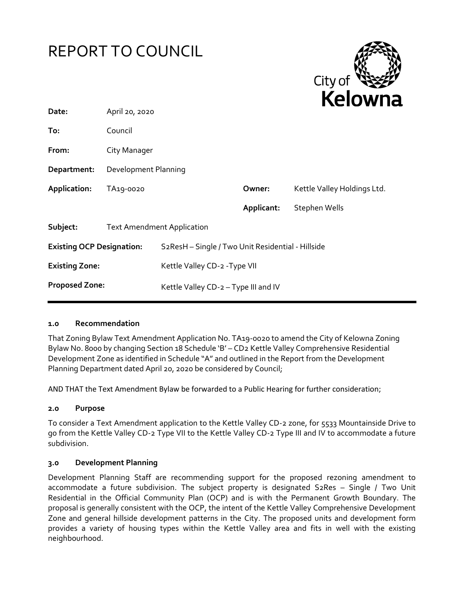



| Date:                            | April 20, 2020                    |                                                   |            | .                           |
|----------------------------------|-----------------------------------|---------------------------------------------------|------------|-----------------------------|
| To:                              | Council                           |                                                   |            |                             |
| From:                            | City Manager                      |                                                   |            |                             |
| Department:                      | Development Planning              |                                                   |            |                             |
| Application:                     | TA19-0020                         |                                                   | Owner:     | Kettle Valley Holdings Ltd. |
|                                  |                                   |                                                   | Applicant: | Stephen Wells               |
| Subject:                         | <b>Text Amendment Application</b> |                                                   |            |                             |
| <b>Existing OCP Designation:</b> |                                   | S2ResH - Single / Two Unit Residential - Hillside |            |                             |
| <b>Existing Zone:</b>            |                                   | Kettle Valley CD-2 - Type VII                     |            |                             |
| <b>Proposed Zone:</b>            |                                   | Kettle Valley CD-2 - Type III and IV              |            |                             |
|                                  |                                   |                                                   |            |                             |

#### **1.0 Recommendation**

That Zoning Bylaw Text Amendment Application No. TA19-0020 to amend the City of Kelowna Zoning Bylaw No. 8000 by changing Section 18 Schedule 'B' – CD2 Kettle Valley Comprehensive Residential Development Zone as identified in Schedule "A" and outlined in the Report from the Development Planning Department dated April 20, 2020 be considered by Council;

AND THAT the Text Amendment Bylaw be forwarded to a Public Hearing for further consideration;

#### **2.0 Purpose**

To consider a Text Amendment application to the Kettle Valley CD-2 zone, for 5533 Mountainside Drive to go from the Kettle Valley CD-2 Type VII to the Kettle Valley CD-2 Type III and IV to accommodate a future subdivision.

#### **3.0 Development Planning**

Development Planning Staff are recommending support for the proposed rezoning amendment to accommodate a future subdivision. The subject property is designated S2Res – Single / Two Unit Residential in the Official Community Plan (OCP) and is with the Permanent Growth Boundary. The proposal is generally consistent with the OCP, the intent of the Kettle Valley Comprehensive Development Zone and general hillside development patterns in the City. The proposed units and development form provides a variety of housing types within the Kettle Valley area and fits in well with the existing neighbourhood.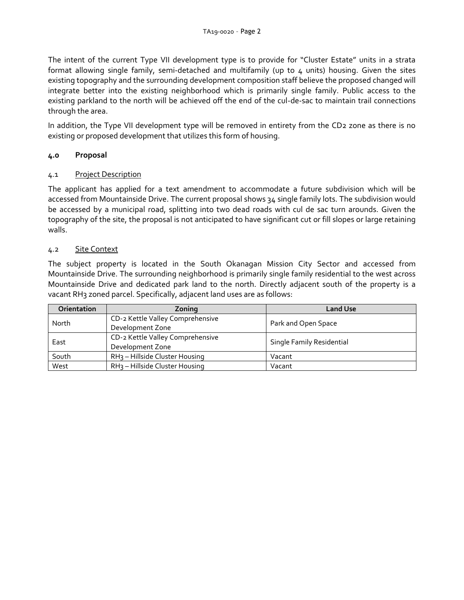The intent of the current Type VII development type is to provide for "Cluster Estate" units in a strata format allowing single family, semi-detached and multifamily (up to 4 units) housing. Given the sites existing topography and the surrounding development composition staff believe the proposed changed will integrate better into the existing neighborhood which is primarily single family. Public access to the existing parkland to the north will be achieved off the end of the cul-de-sac to maintain trail connections through the area.

In addition, the Type VII development type will be removed in entirety from the CD2 zone as there is no existing or proposed development that utilizes this form of housing.

# **4.0 Proposal**

## 4.1 Project Description

The applicant has applied for a text amendment to accommodate a future subdivision which will be accessed from Mountainside Drive. The current proposal shows 34 single family lots. The subdivision would be accessed by a municipal road, splitting into two dead roads with cul de sac turn arounds. Given the topography of the site, the proposal is not anticipated to have significant cut or fill slopes or large retaining walls.

## 4.2 Site Context

The subject property is located in the South Okanagan Mission City Sector and accessed from Mountainside Drive. The surrounding neighborhood is primarily single family residential to the west across Mountainside Drive and dedicated park land to the north. Directly adjacent south of the property is a vacant RH3 zoned parcel. Specifically, adjacent land uses are as follows:

| <b>Orientation</b> | Zoning                                     | <b>Land Use</b>           |  |
|--------------------|--------------------------------------------|---------------------------|--|
| North              | CD-2 Kettle Valley Comprehensive           | Park and Open Space       |  |
|                    | Development Zone                           |                           |  |
| East               | CD-2 Kettle Valley Comprehensive           | Single Family Residential |  |
|                    | Development Zone                           |                           |  |
| South              | RH <sub>3</sub> - Hillside Cluster Housing | Vacant                    |  |
| West               | RH <sub>3</sub> - Hillside Cluster Housing | Vacant                    |  |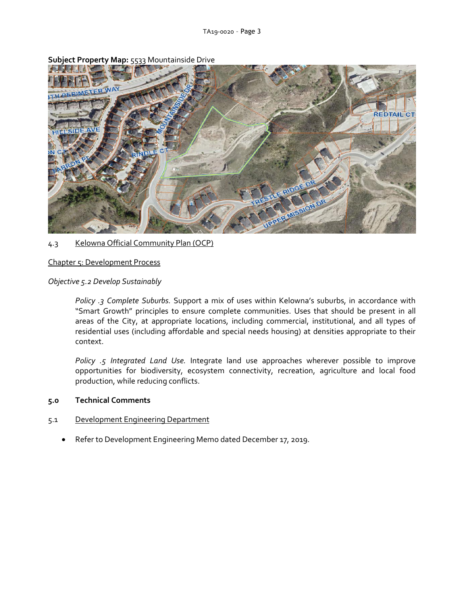

**Subject Property Map:** 5533 Mountainside Drive

## 4.3 Kelowna Official Community Plan (OCP)

#### Chapter 5: Development Process

#### *Objective 5.2 Develop Sustainably*

*Policy .3 Complete Suburbs.* Support a mix of uses within Kelowna's suburbs, in accordance with "Smart Growth" principles to ensure complete communities. Uses that should be present in all areas of the City, at appropriate locations, including commercial, institutional, and all types of residential uses (including affordable and special needs housing) at densities appropriate to their context.

*Policy .5 Integrated Land Use.* Integrate land use approaches wherever possible to improve opportunities for biodiversity, ecosystem connectivity, recreation, agriculture and local food production, while reducing conflicts.

#### **5.0 Technical Comments**

#### 5.1 Development Engineering Department

Refer to Development Engineering Memo dated December 17, 2019.